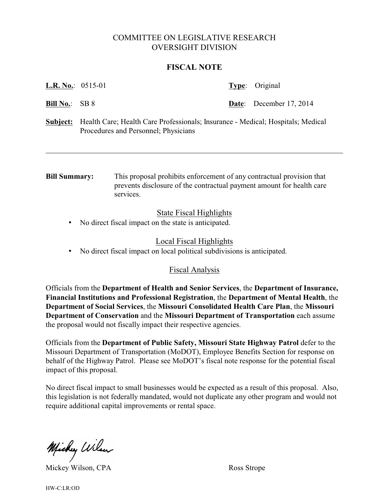# COMMITTEE ON LEGISLATIVE RESEARCH OVERSIGHT DIVISION

#### **FISCAL NOTE**

| <b>L.R. No.:</b> 0515-01 |  | <b>Type:</b> Original          |
|--------------------------|--|--------------------------------|
| <b>Bill No.:</b> SB 8    |  | <b>Date:</b> December 17, 2014 |
|                          |  |                                |

**Subject:** Health Care; Health Care Professionals; Insurance - Medical; Hospitals; Medical Procedures and Personnel; Physicians

**Bill Summary:** This proposal prohibits enforcement of any contractual provision that prevents disclosure of the contractual payment amount for health care services.

### State Fiscal Highlights

• No direct fiscal impact on the state is anticipated.

### Local Fiscal Highlights

• No direct fiscal impact on local political subdivisions is anticipated.

## Fiscal Analysis

Officials from the **Department of Health and Senior Services**, the **Department of Insurance, Financial Institutions and Professional Registration**, the **Department of Mental Health**, the **Department of Social Services**, the **Missouri Consolidated Health Care Plan**, the **Missouri Department of Conservation** and the **Missouri Department of Transportation** each assume the proposal would not fiscally impact their respective agencies.

Officials from the **Department of Public Safety, Missouri State Highway Patrol** defer to the Missouri Department of Transportation (MoDOT), Employee Benefits Section for response on behalf of the Highway Patrol. Please see MoDOT's fiscal note response for the potential fiscal impact of this proposal.

No direct fiscal impact to small businesses would be expected as a result of this proposal. Also, this legislation is not federally mandated, would not duplicate any other program and would not require additional capital improvements or rental space.

Michey Wilson

Mickey Wilson, CPA Ross Strope

HW-C:LR:OD